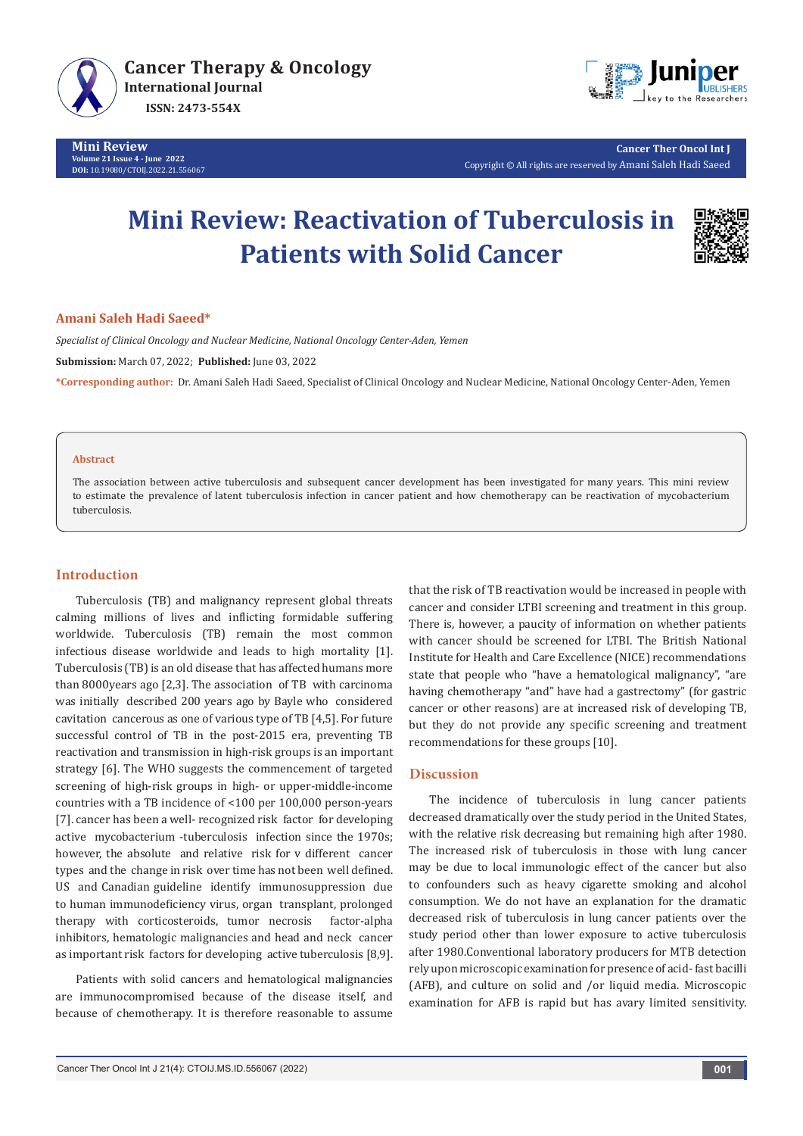

**Mini Review Volume 21 Issue 4 - June 2022 DOI:** [10.19080/CTOIJ.2022.21.55](http://dx.doi.org/10.19080/CTOIJ.2022.21.556067)6067



**Cancer Ther Oncol Int J** Copyright © All rights are reserved by Amani Saleh Hadi Saeed

# **Mini Review: Reactivation of Tuberculosis in Patients with Solid Cancer**



### **Amani Saleh Hadi Saeed\***

*Specialist of Clinical Oncology and Nuclear Medicine, National Oncology Center-Aden, Yemen*

**Submission:** March 07, 2022; **Published:** June 03, 2022

**\*Corresponding author:** Dr. Amani Saleh Hadi Saeed, Specialist of Clinical Oncology and Nuclear Medicine, National Oncology Center-Aden, Yemen

#### **Abstract**

The association between active tuberculosis and subsequent cancer development has been investigated for many years. This mini review to estimate the prevalence of latent tuberculosis infection in cancer patient and how chemotherapy can be reactivation of mycobacterium tuberculosis.

# **Introduction**

Tuberculosis (TB) and malignancy represent global threats calming millions of lives and inflicting formidable suffering worldwide. Tuberculosis (TB) remain the most common infectious disease worldwide and leads to high mortality [1]. Tuberculosis (TB) is an old disease that has affected humans more than 8000years ago [2,3]. The association of TB with carcinoma was initially described 200 years ago by Bayle who considered cavitation cancerous as one of various type of TB [4,5]. For future successful control of TB in the post-2015 era, preventing TB reactivation and transmission in high-risk groups is an important strategy [6]. The WHO suggests the commencement of targeted screening of high-risk groups in high- or upper-middle-income countries with a TB incidence of <100 per 100,000 person-years [7]. cancer has been a well- recognized risk factor for developing active mycobacterium -tuberculosis infection since the 1970s; however, the absolute and relative risk for v different cancer types and the change in risk over time has not been well defined. US and Canadian guideline identify immunosuppression due to human immunodeficiency virus, organ transplant, prolonged therapy with corticosteroids, tumor necrosis factor-alpha inhibitors, hematologic malignancies and head and neck cancer as important risk factors for developing active tuberculosis [8,9].

Patients with solid cancers and hematological malignancies are immunocompromised because of the disease itself, and because of chemotherapy. It is therefore reasonable to assume

that the risk of TB reactivation would be increased in people with cancer and consider LTBI screening and treatment in this group. There is, however, a paucity of information on whether patients with cancer should be screened for LTBI. The British National Institute for Health and Care Excellence (NICE) recommendations state that people who "have a hematological malignancy", "are having chemotherapy "and" have had a gastrectomy" (for gastric cancer or other reasons) are at increased risk of developing TB, but they do not provide any specific screening and treatment recommendations for these groups [10].

# **Discussion**

The incidence of tuberculosis in lung cancer patients decreased dramatically over the study period in the United States, with the relative risk decreasing but remaining high after 1980. The increased risk of tuberculosis in those with lung cancer may be due to local immunologic effect of the cancer but also to confounders such as heavy cigarette smoking and alcohol consumption. We do not have an explanation for the dramatic decreased risk of tuberculosis in lung cancer patients over the study period other than lower exposure to active tuberculosis after 1980.Conventional laboratory producers for MTB detection rely upon microscopic examination for presence of acid- fast bacilli (AFB), and culture on solid and /or liquid media. Microscopic examination for AFB is rapid but has avary limited sensitivity.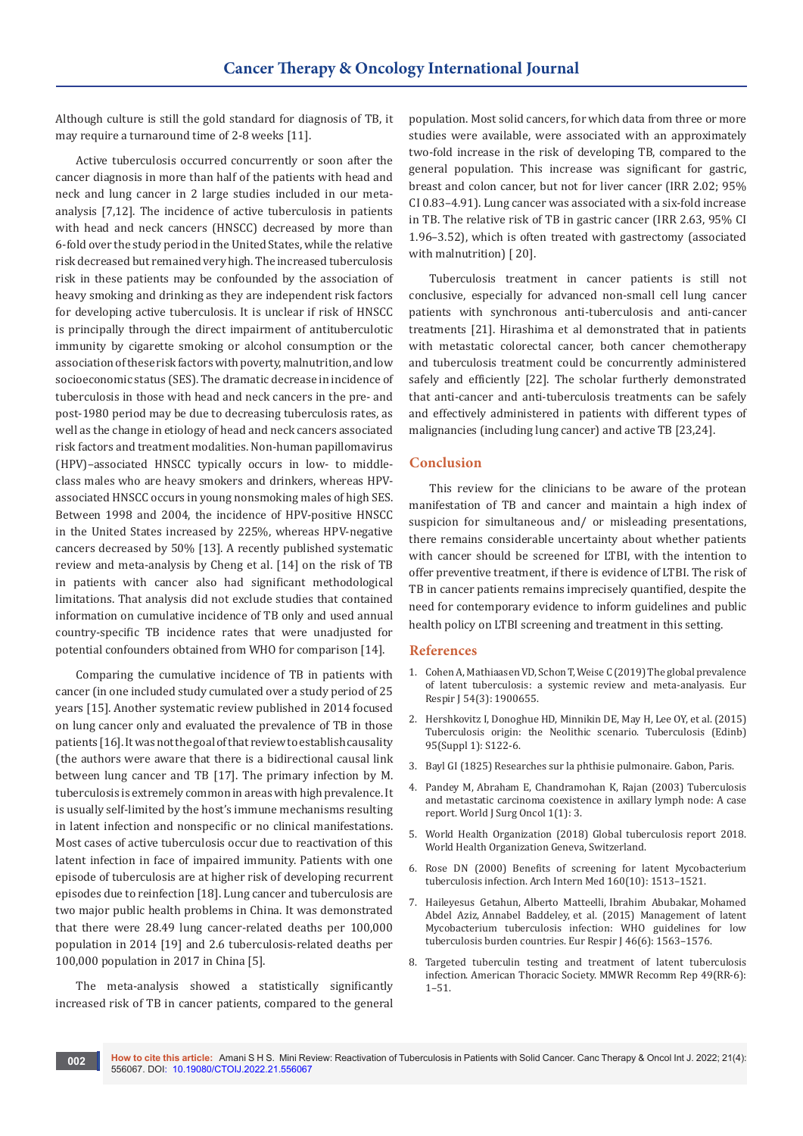Although culture is still the gold standard for diagnosis of TB, it may require a turnaround time of 2-8 weeks [11].

Active tuberculosis occurred concurrently or soon after the cancer diagnosis in more than half of the patients with head and neck and lung cancer in 2 large studies included in our metaanalysis [7,12]. The incidence of active tuberculosis in patients with head and neck cancers (HNSCC) decreased by more than 6-fold over the study period in the United States, while the relative risk decreased but remained very high. The increased tuberculosis risk in these patients may be confounded by the association of heavy smoking and drinking as they are independent risk factors for developing active tuberculosis. It is unclear if risk of HNSCC is principally through the direct impairment of antituberculotic immunity by cigarette smoking or alcohol consumption or the association of these risk factors with poverty, malnutrition, and low socioeconomic status (SES). The dramatic decrease in incidence of tuberculosis in those with head and neck cancers in the pre- and post-1980 period may be due to decreasing tuberculosis rates, as well as the change in etiology of head and neck cancers associated risk factors and treatment modalities. Non-human papillomavirus (HPV)–associated HNSCC typically occurs in low- to middleclass males who are heavy smokers and drinkers, whereas HPVassociated HNSCC occurs in young nonsmoking males of high SES. Between 1998 and 2004, the incidence of HPV-positive HNSCC in the United States increased by 225%, whereas HPV-negative cancers decreased by 50% [13]. A recently published systematic review and meta-analysis by Cheng et al. [14] on the risk of TB in patients with cancer also had significant methodological limitations. That analysis did not exclude studies that contained information on cumulative incidence of TB only and used annual country-specific TB incidence rates that were unadjusted for potential confounders obtained from WHO for comparison [14].

Comparing the cumulative incidence of TB in patients with cancer (in one included study cumulated over a study period of 25 years [15]. Another systematic review published in 2014 focused on lung cancer only and evaluated the prevalence of TB in those patients [16]. It was not the goal of that review to establish causality (the authors were aware that there is a bidirectional causal link between lung cancer and TB [17]. The primary infection by M. tuberculosis is extremely common in areas with high prevalence. It is usually self-limited by the host's immune mechanisms resulting in latent infection and nonspecific or no clinical manifestations. Most cases of active tuberculosis occur due to reactivation of this latent infection in face of impaired immunity. Patients with one episode of tuberculosis are at higher risk of developing recurrent episodes due to reinfection [18]. Lung cancer and tuberculosis are two major public health problems in China. It was demonstrated that there were 28.49 lung cancer-related deaths per 100,000 population in 2014 [19] and 2.6 tuberculosis-related deaths per 100,000 population in 2017 in China [5].

The meta-analysis showed a statistically significantly increased risk of TB in cancer patients, compared to the general population. Most solid cancers, for which data from three or more studies were available, were associated with an approximately two-fold increase in the risk of developing TB, compared to the general population. This increase was significant for gastric, breast and colon cancer, but not for liver cancer (IRR 2.02; 95% CI 0.83–4.91). Lung cancer was associated with a six-fold increase in TB. The relative risk of TB in gastric cancer (IRR 2.63, 95% CI 1.96–3.52), which is often treated with gastrectomy (associated with malnutrition) [20].

Tuberculosis treatment in cancer patients is still not conclusive, especially for advanced non-small cell lung cancer patients with synchronous anti-tuberculosis and anti-cancer treatments [21]. Hirashima et al demonstrated that in patients with metastatic colorectal cancer, both cancer chemotherapy and tuberculosis treatment could be concurrently administered safely and efficiently [22]. The scholar furtherly demonstrated that anti-cancer and anti-tuberculosis treatments can be safely and effectively administered in patients with different types of malignancies (including lung cancer) and active TB [23,24].

# **Conclusion**

This review for the clinicians to be aware of the protean manifestation of TB and cancer and maintain a high index of suspicion for simultaneous and/ or misleading presentations, there remains considerable uncertainty about whether patients with cancer should be screened for LTBI, with the intention to offer preventive treatment, if there is evidence of LTBI. The risk of TB in cancer patients remains imprecisely quantified, despite the need for contemporary evidence to inform guidelines and public health policy on LTBI screening and treatment in this setting.

#### **References**

- 1. [Cohen A, Mathiaasen VD, Schon T, Weise C \(2019\) The global prevalence](https://pubmed.ncbi.nlm.nih.gov/31221810/)  [of latent tuberculosis: a systemic review and meta-analyasis. Eur](https://pubmed.ncbi.nlm.nih.gov/31221810/)  [Respir J 54\(3\): 1900655.](https://pubmed.ncbi.nlm.nih.gov/31221810/)
- 2. [Hershkovitz I, Donoghue HD, Minnikin DE, May H, Lee OY, et al. \(2015\)](https://pubmed.ncbi.nlm.nih.gov/25726364/)  [Tuberculosis origin: the Neolithic scenario. Tuberculosis \(Edinb\)](https://pubmed.ncbi.nlm.nih.gov/25726364/)  [95\(Suppl 1\): S122-6.](https://pubmed.ncbi.nlm.nih.gov/25726364/)
- 3. Bayl GI (1825) Researches sur la phthisie pulmonaire. Gabon, Paris.
- 4. [Pandey M, Abraham E, Chandramohan K, Rajan \(2003\) Tuberculosis](https://pubmed.ncbi.nlm.nih.gov/12773222/)  [and metastatic carcinoma coexistence in axillary lymph node: A case](https://pubmed.ncbi.nlm.nih.gov/12773222/)  [report. World J Surg Oncol 1\(1\): 3.](https://pubmed.ncbi.nlm.nih.gov/12773222/)
- 5. [World Health Organization \(2018\) Global tuberculosis report 2018.](https://apps.who.int/iris/handle/10665/274453)  [World Health Organization Geneva, Switzerland.](https://apps.who.int/iris/handle/10665/274453)
- 6. [Rose DN \(2000\) Benefits of screening for latent Mycobacterium](https://pubmed.ncbi.nlm.nih.gov/10826467/)  [tuberculosis infection. Arch Intern Med 160\(10\): 1513–1521.](https://pubmed.ncbi.nlm.nih.gov/10826467/)
- 7. [Haileyesus Getahun,](https://www.ncbi.nlm.nih.gov/pmc/articles/PMC4664608/) Alberto Matteelli, Ibrahim Abubakar, Mohamed Abdel Aziz, Annabel Baddeley, [et al. \(2015\) Management of latent](https://www.ncbi.nlm.nih.gov/pmc/articles/PMC4664608/)  [Mycobacterium tuberculosis infection: WHO guidelines for low](https://www.ncbi.nlm.nih.gov/pmc/articles/PMC4664608/)  [tuberculosis burden countries. Eur Respir J 46\(6\): 1563–1576.](https://www.ncbi.nlm.nih.gov/pmc/articles/PMC4664608/)
- 8. [Targeted tuberculin testing and treatment of latent tuberculosis](https://pubmed.ncbi.nlm.nih.gov/10881762/)  [infection. American Thoracic Society. MMWR Recomm Rep 49\(RR-6\):](https://pubmed.ncbi.nlm.nih.gov/10881762/)  [1–51.](https://pubmed.ncbi.nlm.nih.gov/10881762/)